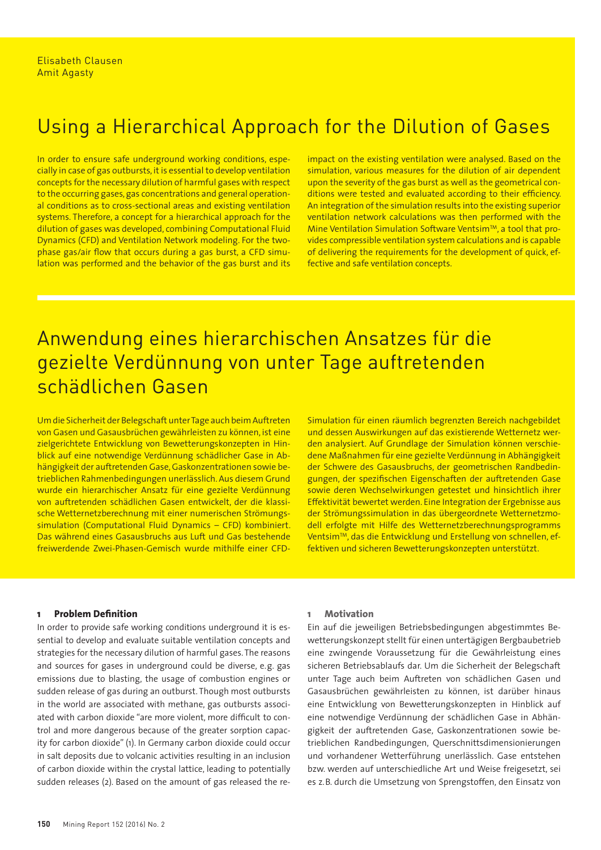# Using a Hierarchical Approach for the Dilution of Gases

In order to ensure safe underground working conditions, especially in case of gas outbursts, it is essential to develop ventilation concepts for the necessary dilution of harmful gases with respect to the occurring gases, gas concentrations and general operational conditions as to cross-sectional areas and existing ventilation systems. Therefore, a concept for a hierarchical approach for the dilution of gases was developed, combining Computational Fluid Dynamics (CFD) and Ventilation Network modeling. For the twophase gas/air flow that occurs during a gas burst, a CFD simulation was performed and the behavior of the gas burst and its

impact on the existing ventilation were analysed. Based on the simulation, various measures for the dilution of air dependent upon the severity of the gas burst as well as the geometrical conditions were tested and evaluated according to their efficiency. An integration of the simulation results into the existing superior ventilation network calculations was then performed with the Mine Ventilation Simulation Software Ventsim<sup>™</sup>, a tool that provides compressible ventilation system calculations and is capable of delivering the requirements for the development of quick, effective and safe ventilation concepts.

## Anwendung eines hierarchischen Ansatzes für die gezielte Verdünnung von unter Tage auftretenden schädlichen Gasen

Um die Sicherheit der Belegschaft unter Tage auch beim Auftreten von Gasen und Gasausbrüchen gewährleisten zu können, ist eine zielgerichtete Entwicklung von Bewetterungskonzepten in Hinblick auf eine notwendige Verdünnung schädlicher Gase in Abhängigkeit der auftretenden Gase, Gaskonzentrationen sowie betrieblichen Rahmenbedingungen unerlässlich. Aus diesem Grund wurde ein hierarchischer Ansatz für eine gezielte Verdünnung von auftretenden schädlichen Gasen entwickelt, der die klassische Wetternetzberechnung mit einer numerischen Strömungssimulation (Computational Fluid Dynamics – CFD) kombiniert. Das während eines Gasausbruchs aus Luft und Gas bestehende freiwerdende Zwei-Phasen-Gemisch wurde mithilfe einer CFD-

Simulation für einen räumlich begrenzten Bereich nachgebildet und dessen Auswirkungen auf das existierende Wetternetz werden analysiert. Auf Grundlage der Simulation können verschiedene Maßnahmen für eine gezielte Verdünnung in Abhängigkeit der Schwere des Gasausbruchs, der geometrischen Randbedingungen, der spezifischen Eigenschaften der auftretenden Gase sowie deren Wechselwirkungen getestet und hinsichtlich ihrer Effektivität bewertet werden. Eine Integration der Ergebnisse aus der Strömungssimulation in das übergeordnete Wetternetzmodell erfolgte mit Hilfe des Wetternetzberechnungsprogramms Ventsim<sup>™</sup>, das die Entwicklung und Erstellung von schnellen, effektiven und sicheren Bewetterungskonzepten unterstützt.

## **1 Problem Definition**

In order to provide safe working conditions underground it is essential to develop and evaluate suitable ventilation concepts and strategies for the necessary dilution of harmful gases. The reasons and sources for gases in underground could be diverse, e.g. gas emissions due to blasting, the usage of combustion engines or sudden release of gas during an outburst. Though most outbursts in the world are associated with methane, gas outbursts associated with carbon dioxide "are more violent, more difficult to control and more dangerous because of the greater sorption capacity for carbon dioxide" (1). In Germany carbon dioxide could occur in salt deposits due to volcanic activities resulting in an inclusion of carbon dioxide within the crystal lattice, leading to potentially sudden releases (2). Based on the amount of gas released the re-

#### **1 Motivation**

Ein auf die jeweiligen Betriebsbedingungen abgestimmtes Bewetterungskonzept stellt für einen untertägigen Bergbaubetrieb eine zwingende Voraussetzung für die Gewährleistung eines sicheren Betriebsablaufs dar. Um die Sicherheit der Belegschaft unter Tage auch beim Auftreten von schädlichen Gasen und Gasausbrüchen gewährleisten zu können, ist darüber hinaus eine Entwicklung von Bewetterungskonzepten in Hinblick auf eine notwendige Verdünnung der schädlichen Gase in Abhängigkeit der auftretenden Gase, Gaskonzentrationen sowie betrieblichen Randbedingungen, Querschnittsdimensionierungen und vorhandener Wetterführung unerlässlich. Gase entstehen bzw. werden auf unterschiedliche Art und Weise freigesetzt, sei es z.B. durch die Umsetzung von Sprengstoffen, den Einsatz von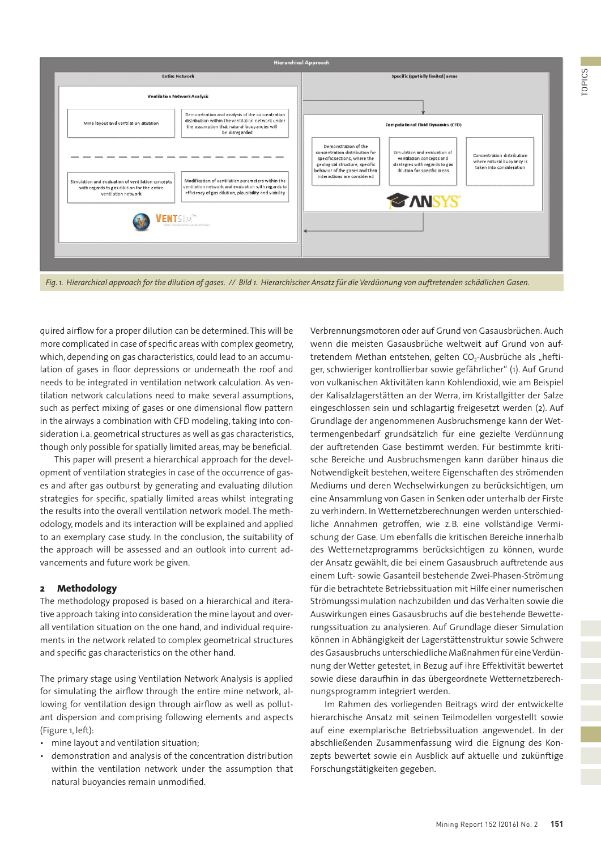

*Fig. 1. Hierarchical approach for the dilution of gases. // Bild 1. Hierarchischer Ansatz für die Verdünnung von auftretenden schädlichen Gasen.*

quired airflow for a proper dilution can be determined. This will be more complicated in case of specific areas with complex geometry, which, depending on gas characteristics, could lead to an accumulation of gases in floor depressions or underneath the roof and needs to be integrated in ventilation network calculation. As ventilation network calculations need to make several assumptions, such as perfect mixing of gases or one dimensional flow pattern in the airways a combination with CFD modeling, taking into consideration i.a. geometrical structures as well as gas characteristics, though only possible for spatially limited areas, may be beneficial.

This paper will present a hierarchical approach for the development of ventilation strategies in case of the occurrence of gases and after gas outburst by generating and evaluating dilution strategies for specific, spatially limited areas whilst integrating the results into the overall ventilation network model. The methodology, models and its interaction will be explained and applied to an exemplary case study. In the conclusion, the suitability of the approach will be assessed and an outlook into current advancements and future work be given.

#### **2 Methodology**

The methodology proposed is based on a hierarchical and iterative approach taking into consideration the mine layout and overall ventilation situation on the one hand, and individual requirements in the network related to complex geometrical structures and specific gas characteristics on the other hand.

The primary stage using Ventilation Network Analysis is applied for simulating the airflow through the entire mine network, allowing for ventilation design through airflow as well as pollutant dispersion and comprising following elements and aspects (Figure 1, left):

- mine layout and ventilation situation;
- demonstration and analysis of the concentration distribution within the ventilation network under the assumption that natural buoyancies remain unmodified.

Verbrennungsmotoren oder auf Grund von Gasausbrüchen. Auch wenn die meisten Gasausbrüche weltweit auf Grund von auftretendem Methan entstehen, gelten CO<sub>2</sub>-Ausbrüche als "heftiger, schwieriger kontrollierbar sowie gefährlicher" (1). Auf Grund von vulkanischen Aktivitäten kann Kohlendioxid, wie am Beispiel der Kalisalzlagerstätten an der Werra, im Kristallgitter der Salze eingeschlossen sein und schlagartig freigesetzt werden (2). Auf Grundlage der angenommenen Ausbruchsmenge kann der Wettermengenbedarf grundsätzlich für eine gezielte Verdünnung der auftretenden Gase bestimmt werden. Für bestimmte kritische Bereiche und Ausbruchsmengen kann darüber hinaus die Notwendigkeit bestehen, weitere Eigenschaften des strömenden Mediums und deren Wechselwirkungen zu berücksichtigen, um eine Ansammlung von Gasen in Senken oder unterhalb der Firste zu verhindern. In Wetternetzberechnungen werden unterschiedliche Annahmen getroffen, wie z.B. eine vollständige Vermischung der Gase. Um ebenfalls die kritischen Bereiche innerhalb des Wetternetzprogramms berücksichtigen zu können, wurde der Ansatz gewählt, die bei einem Gasausbruch auftretende aus einem Luft- sowie Gasanteil bestehende Zwei-Phasen-Strömung für die betrachtete Betriebssituation mit Hilfe einer numerischen Strömungssimulation nachzubilden und das Verhalten sowie die Auswirkungen eines Gasausbruchs auf die bestehende Bewetterungssituation zu analysieren. Auf Grundlage dieser Simulation können in Abhängigkeit der Lagerstättenstruktur sowie Schwere des Gasausbruchs unterschiedliche Maßnahmen für eine Verdünnung der Wetter getestet, in Bezug auf ihre Effektivität bewertet sowie diese daraufhin in das übergeordnete Wetternetzberechnungsprogramm integriert werden.

Im Rahmen des vorliegenden Beitrags wird der entwickelte hierarchische Ansatz mit seinen Teilmodellen vorgestellt sowie auf eine exemplarische Betriebssituation angewendet. In der abschließenden Zusammenfassung wird die Eignung des Konzepts bewertet sowie ein Ausblick auf aktuelle und zukünftige Forschungstätigkeiten gegeben.

TOPICS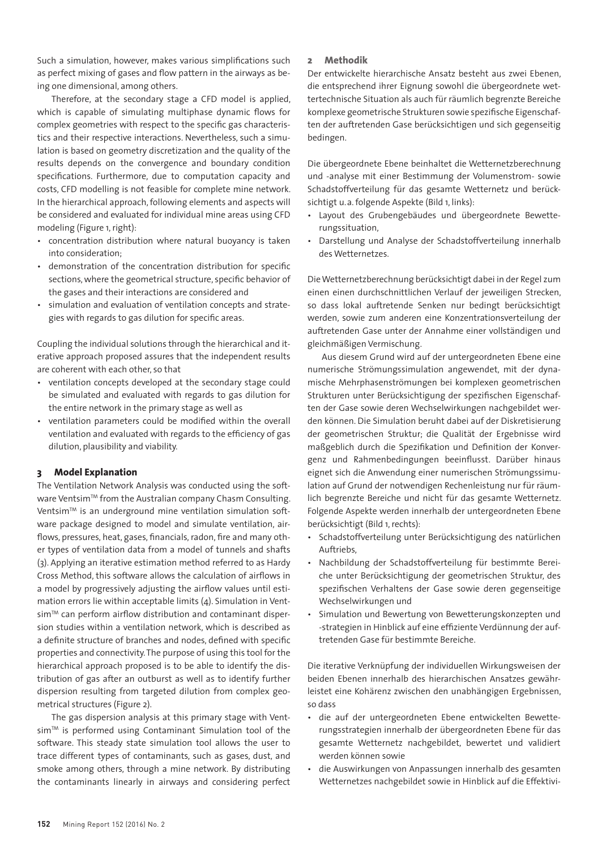Such a simulation, however, makes various simplifications such as perfect mixing of gases and flow pattern in the airways as being one dimensional, among others.

Therefore, at the secondary stage a CFD model is applied, which is capable of simulating multiphase dynamic flows for complex geometries with respect to the specific gas characteristics and their respective interactions. Nevertheless, such a simulation is based on geometry discretization and the quality of the results depends on the convergence and boundary condition specifications. Furthermore, due to computation capacity and costs, CFD modelling is not feasible for complete mine network. In the hierarchical approach, following elements and aspects will be considered and evaluated for individual mine areas using CFD modeling (Figure 1, right):

- concentration distribution where natural buoyancy is taken into consideration;
- demonstration of the concentration distribution for specific sections, where the geometrical structure, specific behavior of the gases and their interactions are considered and
- simulation and evaluation of ventilation concepts and strategies with regards to gas dilution for specific areas.

Coupling the individual solutions through the hierarchical and iterative approach proposed assures that the independent results are coherent with each other, so that

- ventilation concepts developed at the secondary stage could be simulated and evaluated with regards to gas dilution for the entire network in the primary stage as well as
- ventilation parameters could be modified within the overall ventilation and evaluated with regards to the efficiency of gas dilution, plausibility and viability.

## **3 Model Explanation**

The Ventilation Network Analysis was conducted using the software Ventsim™ from the Australian company Chasm Consulting. Ventsim<sup>™</sup> is an underground mine ventilation simulation software package designed to model and simulate ventilation, airflows, pressures, heat, gases, financials, radon, fire and many other types of ventilation data from a model of tunnels and shafts (3). Applying an iterative estimation method referred to as Hardy Cross Method, this software allows the calculation of airflows in a model by progressively adjusting the airflow values until estimation errors lie within acceptable limits (4). Simulation in Ventsim<sup>™</sup> can perform airflow distribution and contaminant dispersion studies within a ventilation network, which is described as a definite structure of branches and nodes, defined with specific properties and connectivity. The purpose of using this tool for the hierarchical approach proposed is to be able to identify the distribution of gas after an outburst as well as to identify further dispersion resulting from targeted dilution from complex geometrical structures (Figure 2).

The gas dispersion analysis at this primary stage with Ventsim<sup>™</sup> is performed using Contaminant Simulation tool of the software. This steady state simulation tool allows the user to trace different types of contaminants, such as gases, dust, and smoke among others, through a mine network. By distributing the contaminants linearly in airways and considering perfect

#### **2 Methodik**

Der entwickelte hierarchische Ansatz besteht aus zwei Ebenen, die entsprechend ihrer Eignung sowohl die übergeordnete wettertechnische Situation als auch für räumlich begrenzte Bereiche komplexe geometrische Strukturen sowie spezifische Eigenschaften der auftretenden Gase berücksichtigen und sich gegenseitig bedingen.

Die übergeordnete Ebene beinhaltet die Wetternetzberechnung und -analyse mit einer Bestimmung der Volumenstrom- sowie Schadstoffverteilung für das gesamte Wetternetz und berücksichtigt u.a. folgende Aspekte (Bild 1, links):

- Layout des Grubengebäudes und übergeordnete Bewetterungssituation,
- Darstellung und Analyse der Schadstoffverteilung innerhalb des Wetternetzes.

Die Wetternetzberechnung berücksichtigt dabei in der Regel zum einen einen durchschnittlichen Verlauf der jeweiligen Strecken, so dass lokal auftretende Senken nur bedingt berücksichtigt werden, sowie zum anderen eine Konzentrationsverteilung der auftretenden Gase unter der Annahme einer vollständigen und gleichmäßigen Vermischung.

Aus diesem Grund wird auf der untergeordneten Ebene eine numerische Strömungssimulation angewendet, mit der dynamische Mehrphasenströmungen bei komplexen geometrischen Strukturen unter Berücksichtigung der spezifischen Eigenschaften der Gase sowie deren Wechselwirkungen nachgebildet werden können. Die Simulation beruht dabei auf der Diskretisierung der geometrischen Struktur; die Qualität der Ergebnisse wird maßgeblich durch die Spezifikation und Definition der Konvergenz und Rahmenbedingungen beeinflusst. Darüber hinaus eignet sich die Anwendung einer numerischen Strömungssimulation auf Grund der notwendigen Rechenleistung nur für räumlich begrenzte Bereiche und nicht für das gesamte Wetternetz. Folgende Aspekte werden innerhalb der untergeordneten Ebene berücksichtigt (Bild 1, rechts):

- Schadstoffverteilung unter Berücksichtigung des natürlichen Auftriebs,
- Nachbildung der Schadstoffverteilung für bestimmte Bereiche unter Berücksichtigung der geometrischen Struktur, des spezifischen Verhaltens der Gase sowie deren gegenseitige Wechselwirkungen und
- Simulation und Bewertung von Bewetterungskonzepten und -strategien in Hinblick auf eine effiziente Verdünnung der auftretenden Gase für bestimmte Bereiche.

Die iterative Verknüpfung der individuellen Wirkungsweisen der beiden Ebenen innerhalb des hierarchischen Ansatzes gewährleistet eine Kohärenz zwischen den unabhängigen Ergebnissen, so dass

- die auf der untergeordneten Ebene entwickelten Bewetterungsstrategien innerhalb der übergeordneten Ebene für das gesamte Wetternetz nachgebildet, bewertet und validiert werden können sowie
- die Auswirkungen von Anpassungen innerhalb des gesamten Wetternetzes nachgebildet sowie in Hinblick auf die Effektivi-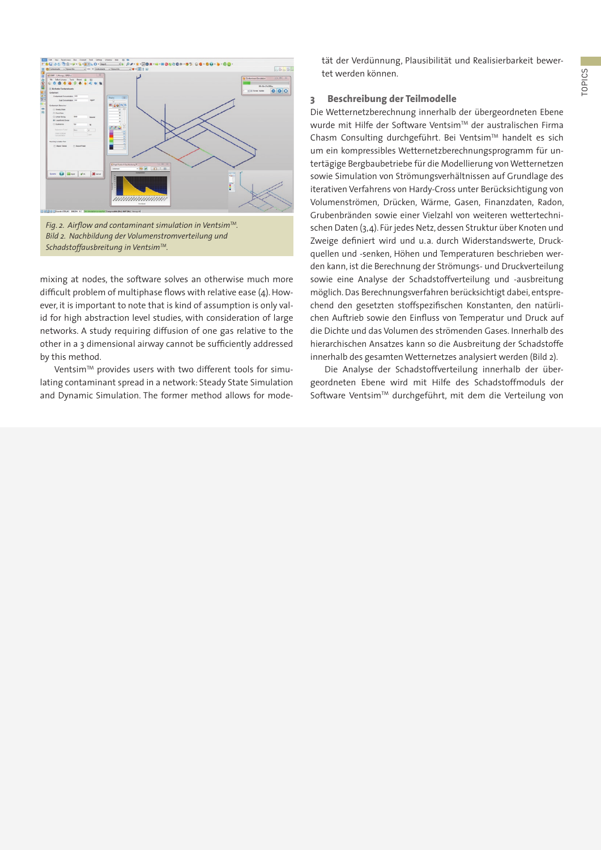

mixing at nodes, the software solves an otherwise much more difficult problem of multiphase flows with relative ease (4). However, it is important to note that is kind of assumption is only valid for high abstraction level studies, with consideration of large networks. A study requiring diffusion of one gas relative to the other in a 3 dimensional airway cannot be sufficiently addressed by this method.

Ventsim<sup>™</sup> provides users with two different tools for simulating contaminant spread in a network: Steady State Simulation and Dynamic Simulation. The former method allows for modetät der Verdünnung, Plausibilität und Realisierbarkeit bewertet werden können.

### **3 Beschreibung der Teilmodelle**

Die Wetternetzberechnung innerhalb der übergeordneten Ebene wurde mit Hilfe der Software Ventsim™ der australischen Firma Chasm Consulting durchgeführt. Bei Ventsim™ handelt es sich um ein kompressibles Wetternetzberechnungsprogramm für untertägige Bergbaubetriebe für die Modellierung von Wetternetzen sowie Simulation von Strömungsverhältnissen auf Grundlage des iterativen Verfahrens von Hardy-Cross unter Berücksichtigung von Volumenströmen, Drücken, Wärme, Gasen, Finanzdaten, Radon, Grubenbränden sowie einer Vielzahl von weiteren wettertechnischen Daten (3,4). Für jedes Netz, dessen Struktur über Knoten und Zweige definiert wird und u.a. durch Widerstandswerte, Druckquellen und -senken, Höhen und Temperaturen beschrieben werden kann, ist die Berechnung der Strömungs- und Druckverteilung sowie eine Analyse der Schadstoffverteilung und -ausbreitung möglich. Das Berechnungsverfahren berücksichtigt dabei, entsprechend den gesetzten stoffspezifischen Konstanten, den natürlichen Auftrieb sowie den Einfluss von Temperatur und Druck auf die Dichte und das Volumen des strömenden Gases. Innerhalb des hierarchischen Ansatzes kann so die Ausbreitung der Schadstoffe innerhalb des gesamten Wetternetzes analysiert werden (Bild 2).

Die Analyse der Schadstoffverteilung innerhalb der übergeordneten Ebene wird mit Hilfe des Schadstoffmoduls der Software Ventsim™ durchgeführt, mit dem die Verteilung von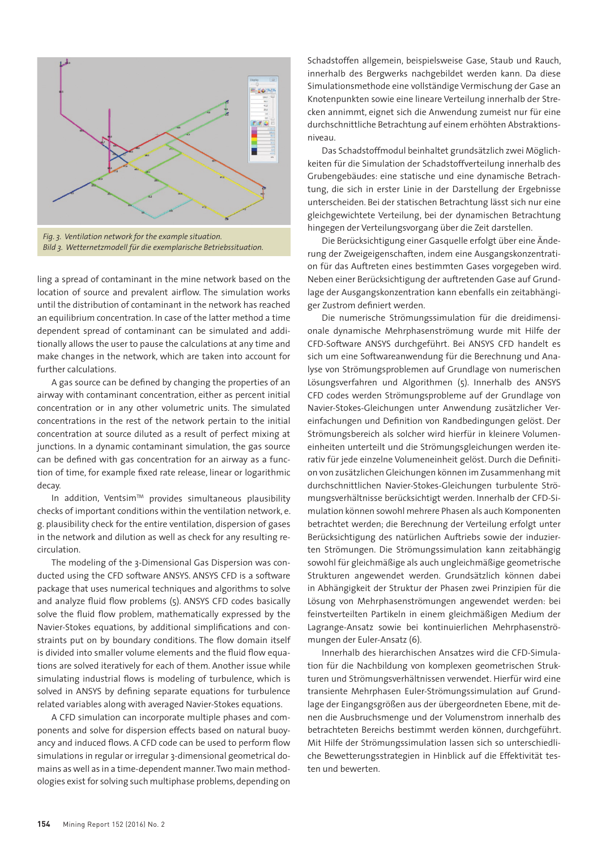

*Fig. 3. Ventilation network for the example situation. Bild 3. Wetternetzmodell für die exemplarische Betriebssituation.*

ling a spread of contaminant in the mine network based on the location of source and prevalent airflow. The simulation works until the distribution of contaminant in the network has reached an equilibrium concentration. In case of the latter method a time dependent spread of contaminant can be simulated and additionally allows the user to pause the calculations at any time and make changes in the network, which are taken into account for further calculations.

A gas source can be defined by changing the properties of an airway with contaminant concentration, either as percent initial concentration or in any other volumetric units. The simulated concentrations in the rest of the network pertain to the initial concentration at source diluted as a result of perfect mixing at junctions. In a dynamic contaminant simulation, the gas source can be defined with gas concentration for an airway as a function of time, for example fixed rate release, linear or logarithmic decay.

In addition, Ventsim<sup>™</sup> provides simultaneous plausibility checks of important conditions within the ventilation network, e. g. plausibility check for the entire ventilation, dispersion of gases in the network and dilution as well as check for any resulting recirculation.

The modeling of the 3-Dimensional Gas Dispersion was conducted using the CFD software ANSYS. ANSYS CFD is a software package that uses numerical techniques and algorithms to solve and analyze fluid flow problems (5). ANSYS CFD codes basically solve the fluid flow problem, mathematically expressed by the Navier-Stokes equations, by additional simplifications and constraints put on by boundary conditions. The flow domain itself is divided into smaller volume elements and the fluid flow equations are solved iteratively for each of them. Another issue while simulating industrial flows is modeling of turbulence, which is solved in ANSYS by defining separate equations for turbulence related variables along with averaged Navier-Stokes equations.

A CFD simulation can incorporate multiple phases and components and solve for dispersion effects based on natural buoyancy and induced flows. A CFD code can be used to perform flow simulations in regular or irregular 3-dimensional geometrical domains as well as in a time-dependent manner. Two main methodologies exist for solving such multiphase problems, depending on Schadstoffen allgemein, beispielsweise Gase, Staub und Rauch, innerhalb des Bergwerks nachgebildet werden kann. Da diese Simulationsmethode eine vollständige Vermischung der Gase an Knotenpunkten sowie eine lineare Verteilung innerhalb der Strecken annimmt, eignet sich die Anwendung zumeist nur für eine durchschnittliche Betrachtung auf einem erhöhten Abstraktionsniveau.

Das Schadstoffmodul beinhaltet grundsätzlich zwei Möglichkeiten für die Simulation der Schadstoffverteilung innerhalb des Grubengebäudes: eine statische und eine dynamische Betrachtung, die sich in erster Linie in der Darstellung der Ergebnisse unterscheiden. Bei der statischen Betrachtung lässt sich nur eine gleichgewichtete Verteilung, bei der dynamischen Betrachtung hingegen der Verteilungsvorgang über die Zeit darstellen.

Die Berücksichtigung einer Gasquelle erfolgt über eine Änderung der Zweigeigenschaften, indem eine Ausgangskonzentration für das Auftreten eines bestimmten Gases vorgegeben wird. Neben einer Berücksichtigung der auftretenden Gase auf Grundlage der Ausgangskonzentration kann ebenfalls ein zeitabhängiger Zustrom definiert werden.

Die numerische Strömungssimulation für die dreidimensionale dynamische Mehrphasenströmung wurde mit Hilfe der CFD-Software ANSYS durchgeführt. Bei ANSYS CFD handelt es sich um eine Softwareanwendung für die Berechnung und Analyse von Strömungsproblemen auf Grundlage von numerischen Lösungsverfahren und Algorithmen (5). Innerhalb des ANSYS CFD codes werden Strömungsprobleme auf der Grundlage von Navier-Stokes-Gleichungen unter Anwendung zusätzlicher Vereinfachungen und Definition von Randbedingungen gelöst. Der Strömungsbereich als solcher wird hierfür in kleinere Volumeneinheiten unterteilt und die Strömungsgleichungen werden iterativ für jede einzelne Volumeneinheit gelöst. Durch die Definition von zusätzlichen Gleichungen können im Zusammenhang mit durchschnittlichen Navier-Stokes-Gleichungen turbulente Strömungsverhältnisse berücksichtigt werden. Innerhalb der CFD-Simulation können sowohl mehrere Phasen als auch Komponenten betrachtet werden; die Berechnung der Verteilung erfolgt unter Berücksichtigung des natürlichen Auftriebs sowie der induzierten Strömungen. Die Strömungssimulation kann zeitabhängig sowohl für gleichmäßige als auch ungleichmäßige geometrische Strukturen angewendet werden. Grundsätzlich können dabei in Abhängigkeit der Struktur der Phasen zwei Prinzipien für die Lösung von Mehrphasenströmungen angewendet werden: bei feinstverteilten Partikeln in einem gleichmäßigen Medium der Lagrange-Ansatz sowie bei kontinuierlichen Mehrphasenströmungen der Euler-Ansatz (6).

Innerhalb des hierarchischen Ansatzes wird die CFD-Simulation für die Nachbildung von komplexen geometrischen Strukturen und Strömungsverhältnissen verwendet. Hierfür wird eine transiente Mehrphasen Euler-Strömungssimulation auf Grundlage der Eingangsgrößen aus der übergeordneten Ebene, mit denen die Ausbruchsmenge und der Volumenstrom innerhalb des betrachteten Bereichs bestimmt werden können, durchgeführt. Mit Hilfe der Strömungssimulation lassen sich so unterschiedliche Bewetterungsstrategien in Hinblick auf die Effektivität testen und bewerten.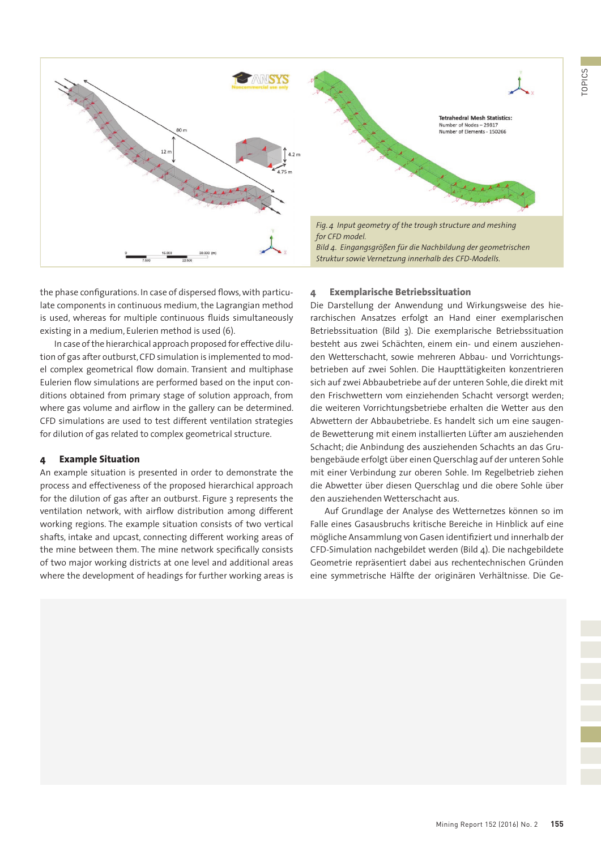

the phase configurations. In case of dispersed flows, with particulate components in continuous medium, the Lagrangian method is used, whereas for multiple continuous fluids simultaneously existing in a medium, Eulerien method is used (6).

In case of the hierarchical approach proposed for effective dilution of gas after outburst, CFD simulation is implemented to model complex geometrical flow domain. Transient and multiphase Eulerien flow simulations are performed based on the input conditions obtained from primary stage of solution approach, from where gas volume and airflow in the gallery can be determined. CFD simulations are used to test different ventilation strategies for dilution of gas related to complex geometrical structure.

## **4 Example Situation**

An example situation is presented in order to demonstrate the process and effectiveness of the proposed hierarchical approach for the dilution of gas after an outburst. Figure 3 represents the ventilation network, with airflow distribution among different working regions. The example situation consists of two vertical shafts, intake and upcast, connecting different working areas of the mine between them. The mine network specifically consists of two major working districts at one level and additional areas where the development of headings for further working areas is

### **4 Exemplarische Betriebssituation**

Die Darstellung der Anwendung und Wirkungsweise des hierarchischen Ansatzes erfolgt an Hand einer exemplarischen Betriebssituation (Bild 3). Die exemplarische Betriebssituation besteht aus zwei Schächten, einem ein- und einem ausziehenden Wetterschacht, sowie mehreren Abbau- und Vorrichtungsbetrieben auf zwei Sohlen. Die Haupttätigkeiten konzentrieren sich auf zwei Abbaubetriebe auf der unteren Sohle, die direkt mit den Frischwettern vom einziehenden Schacht versorgt werden; die weiteren Vorrichtungsbetriebe erhalten die Wetter aus den Abwettern der Abbaubetriebe. Es handelt sich um eine saugende Bewetterung mit einem installierten Lüfter am ausziehenden Schacht; die Anbindung des ausziehenden Schachts an das Grubengebäude erfolgt über einen Querschlag auf der unteren Sohle mit einer Verbindung zur oberen Sohle. Im Regelbetrieb ziehen die Abwetter über diesen Querschlag und die obere Sohle über den ausziehenden Wetterschacht aus.

Auf Grundlage der Analyse des Wetternetzes können so im Falle eines Gasausbruchs kritische Bereiche in Hinblick auf eine mögliche Ansammlung von Gasen identifiziert und innerhalb der CFD-Simulation nachgebildet werden (Bild 4). Die nachgebildete Geometrie repräsentiert dabei aus rechentechnischen Gründen eine symmetrische Hälfte der originären Verhältnisse. Die Ge-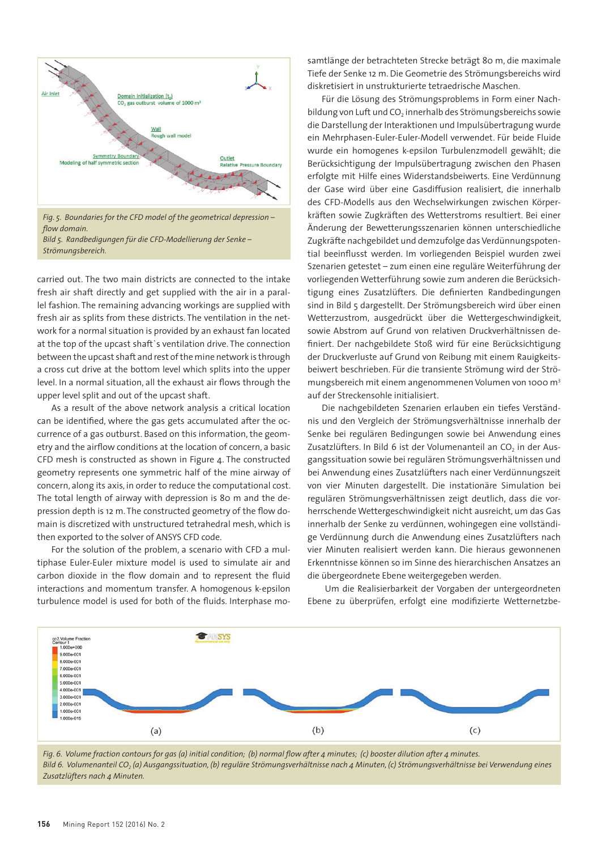

*Strömungsbereich.*

carried out. The two main districts are connected to the intake fresh air shaft directly and get supplied with the air in a parallel fashion. The remaining advancing workings are supplied with fresh air as splits from these districts. The ventilation in the network for a normal situation is provided by an exhaust fan located at the top of the upcast shaft`s ventilation drive. The connection between the upcast shaft and rest of the mine network is through a cross cut drive at the bottom level which splits into the upper level. In a normal situation, all the exhaust air flows through the upper level split and out of the upcast shaft.

As a result of the above network analysis a critical location can be identified, where the gas gets accumulated after the occurrence of a gas outburst. Based on this information, the geometry and the airflow conditions at the location of concern, a basic CFD mesh is constructed as shown in Figure 4. The constructed geometry represents one symmetric half of the mine airway of concern, along its axis, in order to reduce the computational cost. The total length of airway with depression is 80 m and the depression depth is 12 m. The constructed geometry of the flow domain is discretized with unstructured tetrahedral mesh, which is then exported to the solver of ANSYS CFD code.

For the solution of the problem, a scenario with CFD a multiphase Euler-Euler mixture model is used to simulate air and carbon dioxide in the flow domain and to represent the fluid interactions and momentum transfer. A homogenous k-epsilon turbulence model is used for both of the fluids. Interphase mosamtlänge der betrachteten Strecke beträgt 80 m, die maximale Tiefe der Senke 12 m. Die Geometrie des Strömungsbereichs wird diskretisiert in unstrukturierte tetraedrische Maschen.

Für die Lösung des Strömungsproblems in Form einer Nachbildung von Luft und CO<sub>2</sub> innerhalb des Strömungsbereichs sowie die Darstellung der Interaktionen und Impulsübertragung wurde ein Mehrphasen-Euler-Euler-Modell verwendet. Für beide Fluide wurde ein homogenes k-epsilon Turbulenzmodell gewählt; die Berücksichtigung der Impulsübertragung zwischen den Phasen erfolgte mit Hilfe eines Widerstandsbeiwerts. Eine Verdünnung der Gase wird über eine Gasdiffusion realisiert, die innerhalb des CFD-Modells aus den Wechselwirkungen zwischen Körperkräften sowie Zugkräften des Wetterstroms resultiert. Bei einer Änderung der Bewetterungsszenarien können unterschiedliche Zugkräfte nachgebildet und demzufolge das Verdünnungspotential beeinflusst werden. Im vorliegenden Beispiel wurden zwei Szenarien getestet – zum einen eine reguläre Weiterführung der vorliegenden Wetterführung sowie zum anderen die Berücksichtigung eines Zusatzlüfters. Die definierten Randbedingungen sind in Bild 5 dargestellt. Der Strömungsbereich wird über einen Wetterzustrom, ausgedrückt über die Wettergeschwindigkeit, sowie Abstrom auf Grund von relativen Druckverhältnissen definiert. Der nachgebildete Stoß wird für eine Berücksichtigung der Druckverluste auf Grund von Reibung mit einem Rauigkeitsbeiwert beschrieben. Für die transiente Strömung wird der Strömungsbereich mit einem angenommenen Volumen von 1000 m<sup>3</sup> auf der Streckensohle initialisiert.

Die nachgebildeten Szenarien erlauben ein tiefes Verständnis und den Vergleich der Strömungsverhältnisse innerhalb der Senke bei regulären Bedingungen sowie bei Anwendung eines Zusatzlüfters. In Bild 6 ist der Volumenanteil an  $CO<sub>2</sub>$  in der Ausgangssituation sowie bei regulären Strömungsverhältnissen und bei Anwendung eines Zusatzlüfters nach einer Verdünnungszeit von vier Minuten dargestellt. Die instationäre Simulation bei regulären Strömungsverhältnissen zeigt deutlich, dass die vorherrschende Wettergeschwindigkeit nicht ausreicht, um das Gas innerhalb der Senke zu verdünnen, wohingegen eine vollständige Verdünnung durch die Anwendung eines Zusatzlüfters nach vier Minuten realisiert werden kann. Die hieraus gewonnenen Erkenntnisse können so im Sinne des hierarchischen Ansatzes an die übergeordnete Ebene weitergegeben werden.

 Um die Realisierbarkeit der Vorgaben der untergeordneten Ebene zu überprüfen, erfolgt eine modifizierte Wetternetzbe-



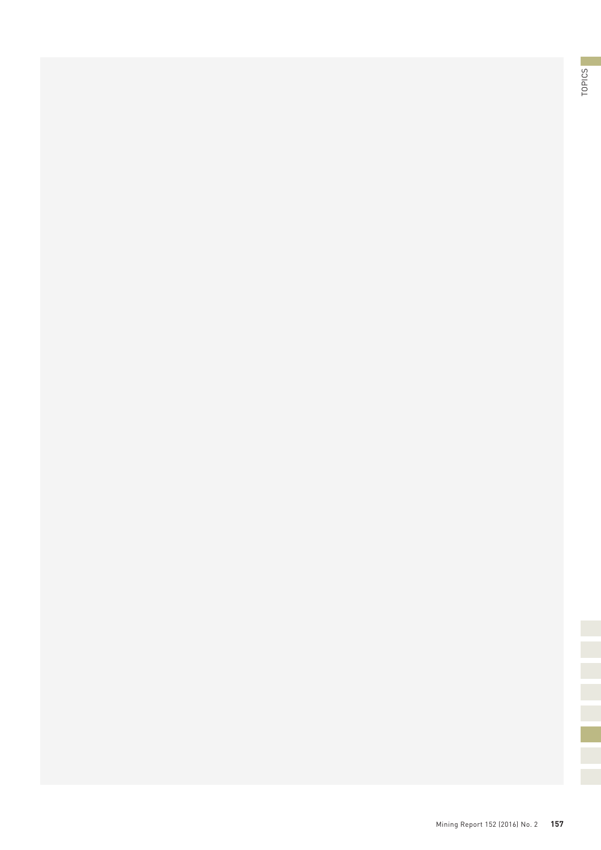TOPICS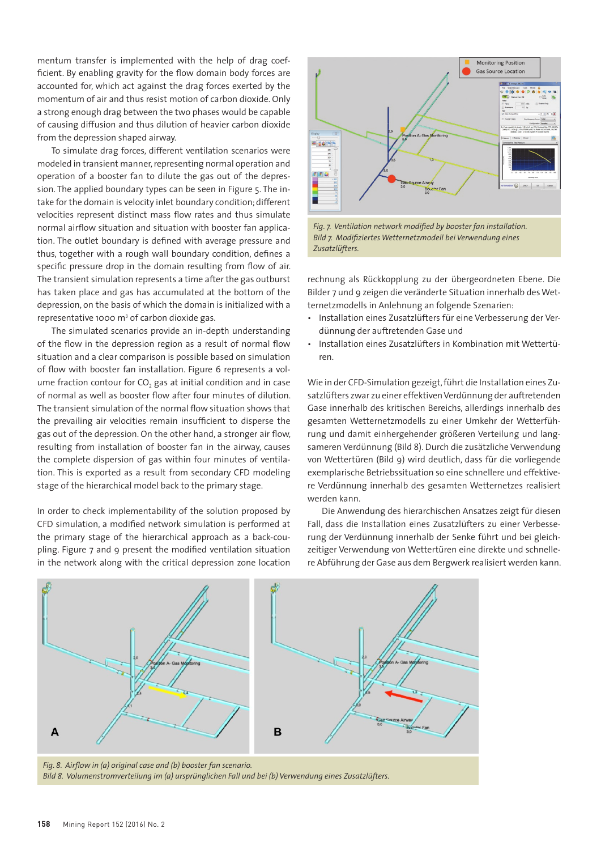mentum transfer is implemented with the help of drag coefficient. By enabling gravity for the flow domain body forces are accounted for, which act against the drag forces exerted by the momentum of air and thus resist motion of carbon dioxide. Only a strong enough drag between the two phases would be capable of causing diffusion and thus dilution of heavier carbon dioxide from the depression shaped airway.

To simulate drag forces, different ventilation scenarios were modeled in transient manner, representing normal operation and operation of a booster fan to dilute the gas out of the depression. The applied boundary types can be seen in Figure 5. The intake for the domain is velocity inlet boundary condition; different velocities represent distinct mass flow rates and thus simulate normal airflow situation and situation with booster fan application. The outlet boundary is defined with average pressure and thus, together with a rough wall boundary condition, defines a specific pressure drop in the domain resulting from flow of air. The transient simulation represents a time after the gas outburst has taken place and gas has accumulated at the bottom of the depression, on the basis of which the domain is initialized with a representative 1000 m<sup>3</sup> of carbon dioxide gas.

The simulated scenarios provide an in-depth understanding of the flow in the depression region as a result of normal flow situation and a clear comparison is possible based on simulation of flow with booster fan installation. Figure 6 represents a volume fraction contour for  $CO<sub>2</sub>$  gas at initial condition and in case of normal as well as booster flow after four minutes of dilution. The transient simulation of the normal flow situation shows that the prevailing air velocities remain insufficient to disperse the gas out of the depression. On the other hand, a stronger air flow, resulting from installation of booster fan in the airway, causes the complete dispersion of gas within four minutes of ventilation. This is exported as a result from secondary CFD modeling stage of the hierarchical model back to the primary stage.

In order to check implementability of the solution proposed by CFD simulation, a modified network simulation is performed at the primary stage of the hierarchical approach as a back-coupling. Figure 7 and 9 present the modified ventilation situation in the network along with the critical depression zone location



*Fig. 7. Ventilation network modified by booster fan installation. Bild 7. Modifiziertes Wetternetzmodell bei Verwendung eines Zusatzlüfters.*

rechnung als Rückkopplung zu der übergeordneten Ebene. Die Bilder 7 und 9 zeigen die veränderte Situation innerhalb des Wetternetzmodells in Anlehnung an folgende Szenarien:

- Installation eines Zusatzlüfters für eine Verbesserung der Verdünnung der auftretenden Gase und
- Installation eines Zusatzlüfters in Kombination mit Wettertüren.

Wie in der CFD-Simulation gezeigt, führt die Installation eines Zusatzlüfters zwar zu einer effektiven Verdünnung der auftretenden Gase innerhalb des kritischen Bereichs, allerdings innerhalb des gesamten Wetternetzmodells zu einer Umkehr der Wetterführung und damit einhergehender größeren Verteilung und langsameren Verdünnung (Bild 8). Durch die zusätzliche Verwendung von Wettertüren (Bild 9) wird deutlich, dass für die vorliegende exemplarische Betriebssituation so eine schnellere und effektivere Verdünnung innerhalb des gesamten Wetternetzes realisiert werden kann.

Die Anwendung des hierarchischen Ansatzes zeigt für diesen Fall, dass die Installation eines Zusatzlüfters zu einer Verbesserung der Verdünnung innerhalb der Senke führt und bei gleichzeitiger Verwendung von Wettertüren eine direkte und schnellere Abführung der Gase aus dem Bergwerk realisiert werden kann.



*Bild 8. Volumenstromverteilung im (a) ursprünglichen Fall und bei (b) Verwendung eines Zusatzlüfters.*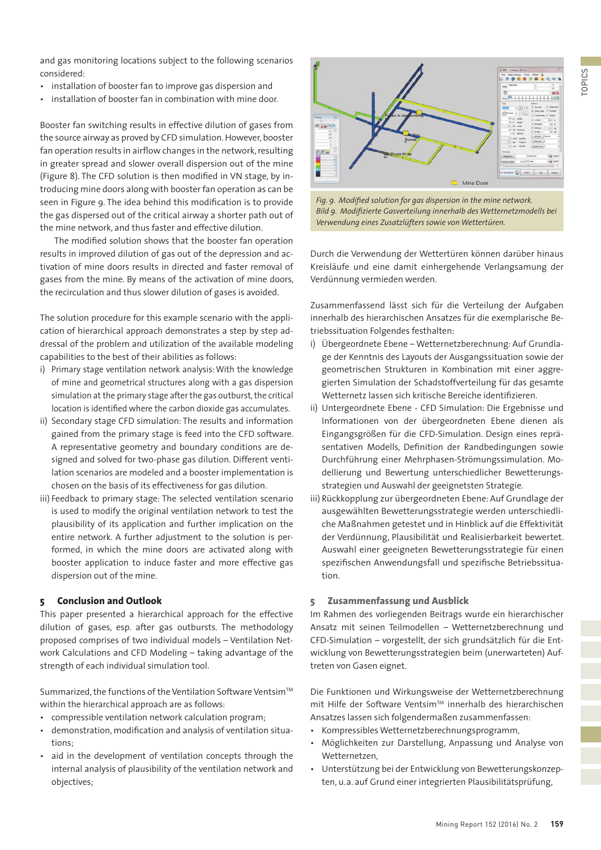and gas monitoring locations subject to the following scenarios considered:

- installation of booster fan to improve gas dispersion and
- installation of booster fan in combination with mine door.

Booster fan switching results in effective dilution of gases from the source airway as proved by CFD simulation. However, booster fan operation results in airflow changes in the network, resulting in greater spread and slower overall dispersion out of the mine (Figure 8). The CFD solution is then modified in VN stage, by introducing mine doors along with booster fan operation as can be seen in Figure 9. The idea behind this modification is to provide the gas dispersed out of the critical airway a shorter path out of the mine network, and thus faster and effective dilution.

The modified solution shows that the booster fan operation results in improved dilution of gas out of the depression and activation of mine doors results in directed and faster removal of gases from the mine. By means of the activation of mine doors, the recirculation and thus slower dilution of gases is avoided.

The solution procedure for this example scenario with the application of hierarchical approach demonstrates a step by step addressal of the problem and utilization of the available modeling capabilities to the best of their abilities as follows:

- i) Primary stage ventilation network analysis: With the knowledge of mine and geometrical structures along with a gas dispersion simulation at the primary stage after the gas outburst, the critical location is identified where the carbon dioxide gas accumulates.
- ii) Secondary stage CFD simulation: The results and information gained from the primary stage is feed into the CFD software. A representative geometry and boundary conditions are designed and solved for two-phase gas dilution. Different ventilation scenarios are modeled and a booster implementation is chosen on the basis of its effectiveness for gas dilution.
- iii) Feedback to primary stage: The selected ventilation scenario is used to modify the original ventilation network to test the plausibility of its application and further implication on the entire network. A further adjustment to the solution is performed, in which the mine doors are activated along with booster application to induce faster and more effective gas dispersion out of the mine.

## **5 Conclusion and Outlook**

This paper presented a hierarchical approach for the effective dilution of gases, esp. after gas outbursts. The methodology proposed comprises of two individual models – Ventilation Network Calculations and CFD Modeling – taking advantage of the strength of each individual simulation tool.

Summarized, the functions of the Ventilation Software Ventsim<sup>™</sup> within the hierarchical approach are as follows:

- compressible ventilation network calculation program;
- demonstration, modification and analysis of ventilation situations;
- aid in the development of ventilation concepts through the internal analysis of plausibility of the ventilation network and objectives;



*Fig. 9. Modified solution for gas dispersion in the mine network. Bild 9. Modifizierte Gasverteilung innerhalb des Wetternetzmodells bei Verwendung eines Zusatzlüfters sowie von Wettertüren.* 

Durch die Verwendung der Wettertüren können darüber hinaus Kreisläufe und eine damit einhergehende Verlangsamung der Verdünnung vermieden werden.

Zusammenfassend lässt sich für die Verteilung der Aufgaben innerhalb des hierarchischen Ansatzes für die exemplarische Betriebssituation Folgendes festhalten:

- i) Übergeordnete Ebene Wetternetzberechnung: Auf Grundlage der Kenntnis des Layouts der Ausgangssituation sowie der geometrischen Strukturen in Kombination mit einer aggregierten Simulation der Schadstoffverteilung für das gesamte Wetternetz lassen sich kritische Bereiche identifizieren.
- ii) Untergeordnete Ebene CFD Simulation: Die Ergebnisse und Informationen von der übergeordneten Ebene dienen als Eingangsgrößen für die CFD-Simulation. Design eines repräsentativen Modells, Definition der Randbedingungen sowie Durchführung einer Mehrphasen-Strömungssimulation. Modellierung und Bewertung unterschiedlicher Bewetterungsstrategien und Auswahl der geeignetsten Strategie.
- iii) Rückkopplung zur übergeordneten Ebene: Auf Grundlage der ausgewählten Bewetterungsstrategie werden unterschiedliche Maßnahmen getestet und in Hinblick auf die Effektivität der Verdünnung, Plausibilität und Realisierbarkeit bewertet. Auswahl einer geeigneten Bewetterungsstrategie für einen spezifischen Anwendungsfall und spezifische Betriebssituation.

#### **5 Zusammenfassung und Ausblick**

Im Rahmen des vorliegenden Beitrags wurde ein hierarchischer Ansatz mit seinen Teilmodellen – Wetternetzberechnung und CFD-Simulation – vorgestellt, der sich grundsätzlich für die Entwicklung von Bewetterungsstrategien beim (unerwarteten) Auftreten von Gasen eignet.

Die Funktionen und Wirkungsweise der Wetternetzberechnung mit Hilfe der Software Ventsim™ innerhalb des hierarchischen Ansatzes lassen sich folgendermaßen zusammenfassen:

- Kompressibles Wetternetzberechnungsprogramm,
- Möglichkeiten zur Darstellung, Anpassung und Analyse von Wetternetzen,
- Unterstützung bei der Entwicklung von Bewetterungskonzepten, u.a. auf Grund einer integrierten Plausibilitätsprüfung,